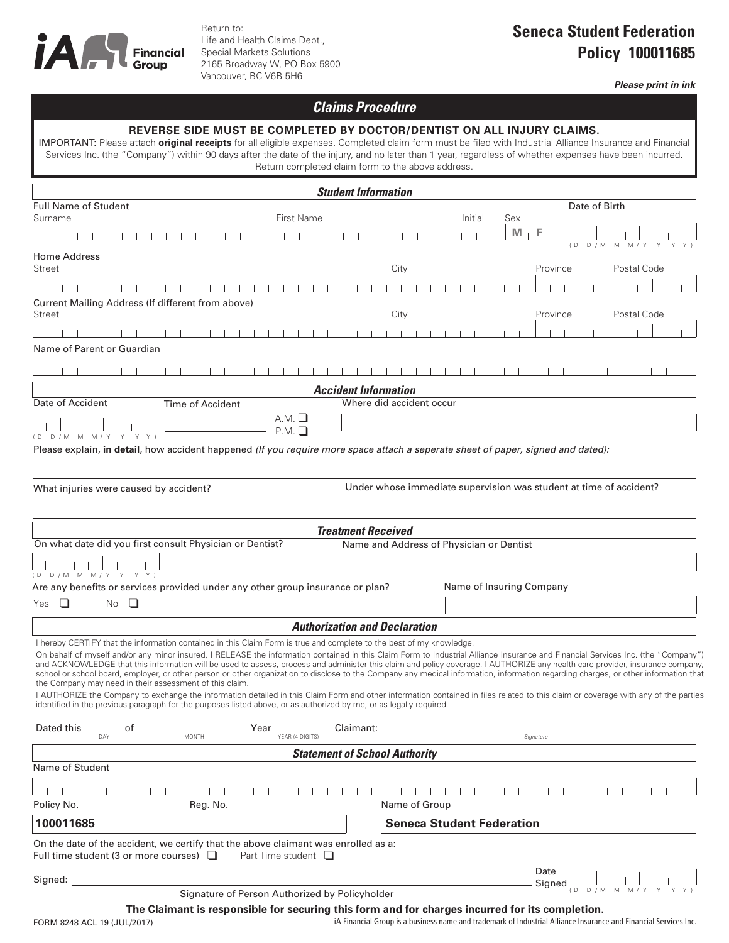

Return to: Life and Health Claims Dept., Special Markets Solutions 2165 Broadway W, PO Box 5900 Vancouver, BC V6B 5H6

## **Seneca Student Federation Policy 100011685**

*Please print in ink*

## *Claims Procedure*

## **REVERSE SIDE MUST BE COMPLETED BY DOCTOR/DENTIST ON ALL INJURY CLAIMS.** IMPORTANT: Please attach **original receipts** for all eligible expenses. Completed claim form must be filed with Industrial Alliance Insurance and Financial

Services Inc. (the "Company") within 90 days after the date of the injury, and no later than 1 year, regardless of whether expenses have been incurred. Return completed claim form to the above address.

| <b>Student Information</b>                                                                                                         |                                                                                                                                                                                                                                             |                                          |         |                                                                                                                                                                                                                                                                                                                                                                                                                                                                                                                                                                                                                                                                                                                                                  |  |  |
|------------------------------------------------------------------------------------------------------------------------------------|---------------------------------------------------------------------------------------------------------------------------------------------------------------------------------------------------------------------------------------------|------------------------------------------|---------|--------------------------------------------------------------------------------------------------------------------------------------------------------------------------------------------------------------------------------------------------------------------------------------------------------------------------------------------------------------------------------------------------------------------------------------------------------------------------------------------------------------------------------------------------------------------------------------------------------------------------------------------------------------------------------------------------------------------------------------------------|--|--|
| <b>Full Name of Student</b>                                                                                                        |                                                                                                                                                                                                                                             |                                          |         | Date of Birth                                                                                                                                                                                                                                                                                                                                                                                                                                                                                                                                                                                                                                                                                                                                    |  |  |
| Surname                                                                                                                            | First Name                                                                                                                                                                                                                                  |                                          | Initial | Sex<br>M                                                                                                                                                                                                                                                                                                                                                                                                                                                                                                                                                                                                                                                                                                                                         |  |  |
|                                                                                                                                    |                                                                                                                                                                                                                                             |                                          |         | F<br>$($ D<br>D / M<br>M<br>M/                                                                                                                                                                                                                                                                                                                                                                                                                                                                                                                                                                                                                                                                                                                   |  |  |
| Home Address                                                                                                                       |                                                                                                                                                                                                                                             |                                          |         |                                                                                                                                                                                                                                                                                                                                                                                                                                                                                                                                                                                                                                                                                                                                                  |  |  |
| Street                                                                                                                             |                                                                                                                                                                                                                                             | City                                     |         | Postal Code<br>Province                                                                                                                                                                                                                                                                                                                                                                                                                                                                                                                                                                                                                                                                                                                          |  |  |
|                                                                                                                                    |                                                                                                                                                                                                                                             |                                          |         |                                                                                                                                                                                                                                                                                                                                                                                                                                                                                                                                                                                                                                                                                                                                                  |  |  |
| Current Mailing Address (If different from above)<br>Street                                                                        |                                                                                                                                                                                                                                             | City                                     |         | Province<br>Postal Code                                                                                                                                                                                                                                                                                                                                                                                                                                                                                                                                                                                                                                                                                                                          |  |  |
|                                                                                                                                    |                                                                                                                                                                                                                                             |                                          |         |                                                                                                                                                                                                                                                                                                                                                                                                                                                                                                                                                                                                                                                                                                                                                  |  |  |
| Name of Parent or Guardian                                                                                                         |                                                                                                                                                                                                                                             |                                          |         |                                                                                                                                                                                                                                                                                                                                                                                                                                                                                                                                                                                                                                                                                                                                                  |  |  |
|                                                                                                                                    |                                                                                                                                                                                                                                             |                                          |         |                                                                                                                                                                                                                                                                                                                                                                                                                                                                                                                                                                                                                                                                                                                                                  |  |  |
|                                                                                                                                    |                                                                                                                                                                                                                                             |                                          |         |                                                                                                                                                                                                                                                                                                                                                                                                                                                                                                                                                                                                                                                                                                                                                  |  |  |
| <b>Accident Information</b><br><b>Time of Accident</b><br>Where did accident occur                                                 |                                                                                                                                                                                                                                             |                                          |         |                                                                                                                                                                                                                                                                                                                                                                                                                                                                                                                                                                                                                                                                                                                                                  |  |  |
| Date of Accident                                                                                                                   | A.M.                                                                                                                                                                                                                                        |                                          |         |                                                                                                                                                                                                                                                                                                                                                                                                                                                                                                                                                                                                                                                                                                                                                  |  |  |
| (D D/M MM M/Y Y Y)                                                                                                                 | P.M.                                                                                                                                                                                                                                        |                                          |         |                                                                                                                                                                                                                                                                                                                                                                                                                                                                                                                                                                                                                                                                                                                                                  |  |  |
| Please explain, in detail, how accident happened (If you require more space attach a seperate sheet of paper, signed and dated):   |                                                                                                                                                                                                                                             |                                          |         |                                                                                                                                                                                                                                                                                                                                                                                                                                                                                                                                                                                                                                                                                                                                                  |  |  |
|                                                                                                                                    |                                                                                                                                                                                                                                             |                                          |         |                                                                                                                                                                                                                                                                                                                                                                                                                                                                                                                                                                                                                                                                                                                                                  |  |  |
|                                                                                                                                    |                                                                                                                                                                                                                                             |                                          |         |                                                                                                                                                                                                                                                                                                                                                                                                                                                                                                                                                                                                                                                                                                                                                  |  |  |
| What injuries were caused by accident?                                                                                             |                                                                                                                                                                                                                                             |                                          |         | Under whose immediate supervision was student at time of accident?                                                                                                                                                                                                                                                                                                                                                                                                                                                                                                                                                                                                                                                                               |  |  |
|                                                                                                                                    |                                                                                                                                                                                                                                             |                                          |         |                                                                                                                                                                                                                                                                                                                                                                                                                                                                                                                                                                                                                                                                                                                                                  |  |  |
| <b>Treatment Received</b>                                                                                                          |                                                                                                                                                                                                                                             |                                          |         |                                                                                                                                                                                                                                                                                                                                                                                                                                                                                                                                                                                                                                                                                                                                                  |  |  |
| On what date did you first consult Physician or Dentist?                                                                           |                                                                                                                                                                                                                                             | Name and Address of Physician or Dentist |         |                                                                                                                                                                                                                                                                                                                                                                                                                                                                                                                                                                                                                                                                                                                                                  |  |  |
|                                                                                                                                    |                                                                                                                                                                                                                                             |                                          |         |                                                                                                                                                                                                                                                                                                                                                                                                                                                                                                                                                                                                                                                                                                                                                  |  |  |
| D/M M M/Y Y<br>YY)<br>(D                                                                                                           |                                                                                                                                                                                                                                             |                                          |         |                                                                                                                                                                                                                                                                                                                                                                                                                                                                                                                                                                                                                                                                                                                                                  |  |  |
| Name of Insuring Company<br>Are any benefits or services provided under any other group insurance or plan?<br>□<br>$\Box$          |                                                                                                                                                                                                                                             |                                          |         |                                                                                                                                                                                                                                                                                                                                                                                                                                                                                                                                                                                                                                                                                                                                                  |  |  |
| No<br>Yes                                                                                                                          |                                                                                                                                                                                                                                             |                                          |         |                                                                                                                                                                                                                                                                                                                                                                                                                                                                                                                                                                                                                                                                                                                                                  |  |  |
|                                                                                                                                    |                                                                                                                                                                                                                                             | <b>Authorization and Declaration</b>     |         |                                                                                                                                                                                                                                                                                                                                                                                                                                                                                                                                                                                                                                                                                                                                                  |  |  |
| the Company may need in their assessment of this claim.                                                                            | I hereby CERTIFY that the information contained in this Claim Form is true and complete to the best of my knowledge.<br>identified in the previous paragraph for the purposes listed above, or as authorized by me, or as legally required. |                                          |         | On behalf of myself and/or any minor insured, I RELEASE the information contained in this Claim Form to Industrial Alliance Insurance and Financial Services Inc. (the "Company")<br>and ACKNOWLEDGE that this information will be used to assess, process and administer this claim and policy coverage. I AUTHORIZE any health care provider, insurance company,<br>school or school board, employer, or other person or other organization to disclose to the Company any medical information, information regarding charges, or other information that<br>I AUTHORIZE the Company to exchange the information detailed in this Claim Form and other information contained in files related to this claim or coverage with any of the parties |  |  |
| Dated this __                                                                                                                      |                                                                                                                                                                                                                                             | Claimant:                                |         |                                                                                                                                                                                                                                                                                                                                                                                                                                                                                                                                                                                                                                                                                                                                                  |  |  |
|                                                                                                                                    | $\frac{1}{\sqrt{\text{FAR} (4 \text{ DIGITS})}}$<br><b>MONTH</b>                                                                                                                                                                            |                                          |         | Signature                                                                                                                                                                                                                                                                                                                                                                                                                                                                                                                                                                                                                                                                                                                                        |  |  |
|                                                                                                                                    |                                                                                                                                                                                                                                             | <b>Statement of School Authority</b>     |         |                                                                                                                                                                                                                                                                                                                                                                                                                                                                                                                                                                                                                                                                                                                                                  |  |  |
| Name of Student                                                                                                                    |                                                                                                                                                                                                                                             |                                          |         |                                                                                                                                                                                                                                                                                                                                                                                                                                                                                                                                                                                                                                                                                                                                                  |  |  |
|                                                                                                                                    |                                                                                                                                                                                                                                             |                                          |         |                                                                                                                                                                                                                                                                                                                                                                                                                                                                                                                                                                                                                                                                                                                                                  |  |  |
| Policy No.                                                                                                                         | Reg. No.                                                                                                                                                                                                                                    | Name of Group                            |         |                                                                                                                                                                                                                                                                                                                                                                                                                                                                                                                                                                                                                                                                                                                                                  |  |  |
| 100011685                                                                                                                          |                                                                                                                                                                                                                                             | <b>Seneca Student Federation</b>         |         |                                                                                                                                                                                                                                                                                                                                                                                                                                                                                                                                                                                                                                                                                                                                                  |  |  |
| On the date of the accident, we certify that the above claimant was enrolled as a:<br>Full time student (3 or more courses) $\Box$ | Part Time student $\Box$                                                                                                                                                                                                                    |                                          |         |                                                                                                                                                                                                                                                                                                                                                                                                                                                                                                                                                                                                                                                                                                                                                  |  |  |
|                                                                                                                                    |                                                                                                                                                                                                                                             |                                          |         | Date                                                                                                                                                                                                                                                                                                                                                                                                                                                                                                                                                                                                                                                                                                                                             |  |  |
| Signed:                                                                                                                            | Signature of Person Authorized by Policyholder                                                                                                                                                                                              |                                          |         | Signed                                                                                                                                                                                                                                                                                                                                                                                                                                                                                                                                                                                                                                                                                                                                           |  |  |
|                                                                                                                                    | The Claiment is responsible for sequring this form and for sharpes inqurred for its completion                                                                                                                                              |                                          |         |                                                                                                                                                                                                                                                                                                                                                                                                                                                                                                                                                                                                                                                                                                                                                  |  |  |

**The Claimant is responsible for securing this form and for charges incurred for its completion.**

FORM 8248 ACL 19 (JUL/2017)

iA Financial Group is a business name and trademark of Industrial Alliance Insurance and Financial Services Inc.